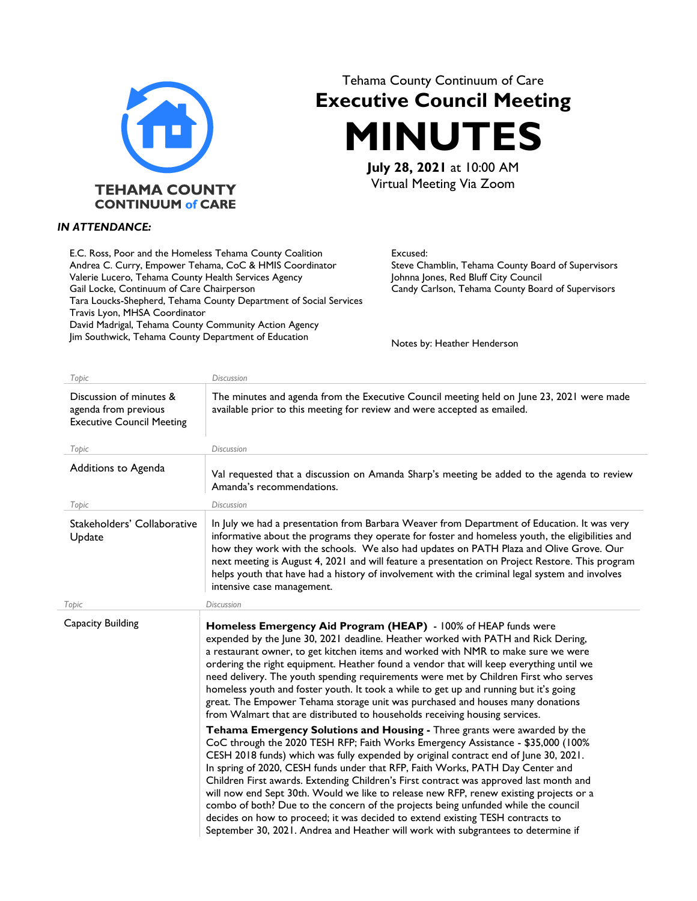

## Tehama County Continuum of Care **Executive Council Meeting MINUTES**

**July 28, 2021** at 10:00 AM Virtual Meeting Via Zoom

## *IN ATTENDANCE:*

E.C. Ross, Poor and the Homeless Tehama County Coalition Andrea C. Curry, Empower Tehama, CoC & HMIS Coordinator Valerie Lucero, Tehama County Health Services Agency Gail Locke, Continuum of Care Chairperson Tara Loucks-Shepherd, Tehama County Department of Social Services Travis Lyon, MHSA Coordinator David Madrigal, Tehama County Community Action Agency Jim Southwick, Tehama County Department of Education

Excused: Steve Chamblin, Tehama County Board of Supervisors Johnna Jones, Red Bluff City Council Candy Carlson, Tehama County Board of Supervisors

Notes by: Heather Henderson

| Topic                                                                               | <b>Discussion</b>                                                                                                                                                                                                                                                                                                                                                                                                                                                                                                                                                                                                                                                                                                                                                                        |
|-------------------------------------------------------------------------------------|------------------------------------------------------------------------------------------------------------------------------------------------------------------------------------------------------------------------------------------------------------------------------------------------------------------------------------------------------------------------------------------------------------------------------------------------------------------------------------------------------------------------------------------------------------------------------------------------------------------------------------------------------------------------------------------------------------------------------------------------------------------------------------------|
| Discussion of minutes &<br>agenda from previous<br><b>Executive Council Meeting</b> | The minutes and agenda from the Executive Council meeting held on June 23, 2021 were made<br>available prior to this meeting for review and were accepted as emailed.                                                                                                                                                                                                                                                                                                                                                                                                                                                                                                                                                                                                                    |
| Topic                                                                               | <b>Discussion</b>                                                                                                                                                                                                                                                                                                                                                                                                                                                                                                                                                                                                                                                                                                                                                                        |
| Additions to Agenda                                                                 | Val requested that a discussion on Amanda Sharp's meeting be added to the agenda to review<br>Amanda's recommendations.                                                                                                                                                                                                                                                                                                                                                                                                                                                                                                                                                                                                                                                                  |
| Topic                                                                               | <b>Discussion</b>                                                                                                                                                                                                                                                                                                                                                                                                                                                                                                                                                                                                                                                                                                                                                                        |
| Stakeholders' Collaborative<br>Update                                               | In July we had a presentation from Barbara Weaver from Department of Education. It was very<br>informative about the programs they operate for foster and homeless youth, the eligibilities and<br>how they work with the schools. We also had updates on PATH Plaza and Olive Grove. Our<br>next meeting is August 4, 2021 and will feature a presentation on Project Restore. This program<br>helps youth that have had a history of involvement with the criminal legal system and involves<br>intensive case management.                                                                                                                                                                                                                                                             |
| <b>Topic</b>                                                                        | <b>Discussion</b>                                                                                                                                                                                                                                                                                                                                                                                                                                                                                                                                                                                                                                                                                                                                                                        |
| Capacity Building                                                                   | Homeless Emergency Aid Program (HEAP) - 100% of HEAP funds were<br>expended by the June 30, 2021 deadline. Heather worked with PATH and Rick Dering,<br>a restaurant owner, to get kitchen items and worked with NMR to make sure we were<br>ordering the right equipment. Heather found a vendor that will keep everything until we<br>need delivery. The youth spending requirements were met by Children First who serves<br>homeless youth and foster youth. It took a while to get up and running but it's going<br>great. The Empower Tehama storage unit was purchased and houses many donations<br>from Walmart that are distributed to households receiving housing services.                                                                                                   |
|                                                                                     | Tehama Emergency Solutions and Housing - Three grants were awarded by the<br>CoC through the 2020 TESH RFP; Faith Works Emergency Assistance - \$35,000 (100%<br>CESH 2018 funds) which was fully expended by original contract end of June 30, 2021.<br>In spring of 2020, CESH funds under that RFP, Faith Works, PATH Day Center and<br>Children First awards. Extending Children's First contract was approved last month and<br>will now end Sept 30th. Would we like to release new RFP, renew existing projects or a<br>combo of both? Due to the concern of the projects being unfunded while the council<br>decides on how to proceed; it was decided to extend existing TESH contracts to<br>September 30, 2021. Andrea and Heather will work with subgrantees to determine if |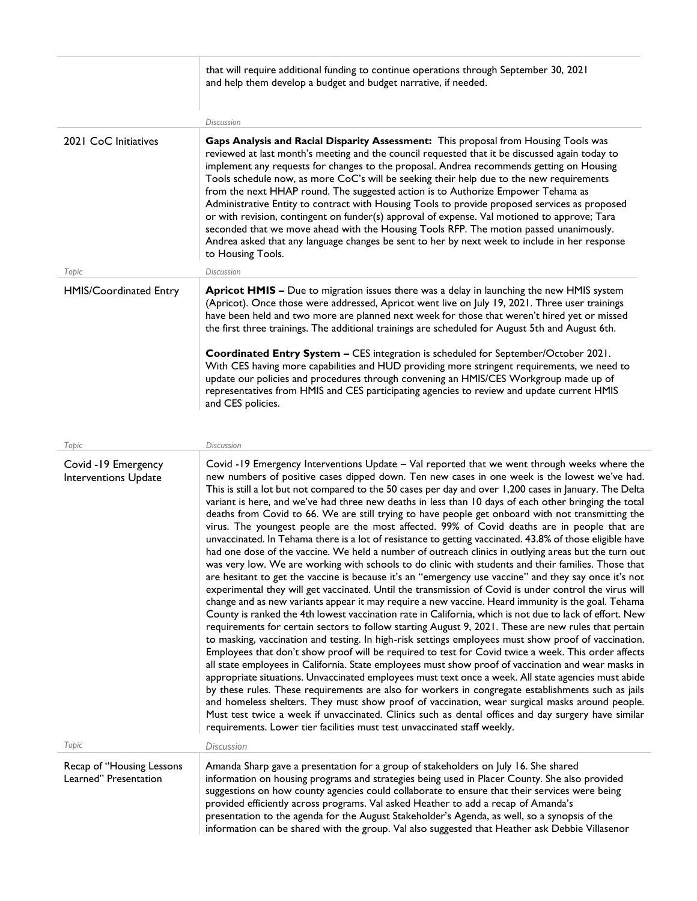|                                                    | that will require additional funding to continue operations through September 30, 2021<br>and help them develop a budget and budget narrative, if needed.                                                                                                                                                                                                                                                                                                                                                                                                                                                                                                                                                                                                                                                                                                                                                                                                                                                                                                                                                                                                                                                                                                                                                                                                                                                                                                                                                                                                                                                                                                                                                                                                                                                                                                                                                                                                                                                                                                                                                                                                                                                                                                                                                             |
|----------------------------------------------------|-----------------------------------------------------------------------------------------------------------------------------------------------------------------------------------------------------------------------------------------------------------------------------------------------------------------------------------------------------------------------------------------------------------------------------------------------------------------------------------------------------------------------------------------------------------------------------------------------------------------------------------------------------------------------------------------------------------------------------------------------------------------------------------------------------------------------------------------------------------------------------------------------------------------------------------------------------------------------------------------------------------------------------------------------------------------------------------------------------------------------------------------------------------------------------------------------------------------------------------------------------------------------------------------------------------------------------------------------------------------------------------------------------------------------------------------------------------------------------------------------------------------------------------------------------------------------------------------------------------------------------------------------------------------------------------------------------------------------------------------------------------------------------------------------------------------------------------------------------------------------------------------------------------------------------------------------------------------------------------------------------------------------------------------------------------------------------------------------------------------------------------------------------------------------------------------------------------------------------------------------------------------------------------------------------------------------|
|                                                    | Discussion                                                                                                                                                                                                                                                                                                                                                                                                                                                                                                                                                                                                                                                                                                                                                                                                                                                                                                                                                                                                                                                                                                                                                                                                                                                                                                                                                                                                                                                                                                                                                                                                                                                                                                                                                                                                                                                                                                                                                                                                                                                                                                                                                                                                                                                                                                            |
| 2021 CoC Initiatives<br>Topic                      | Gaps Analysis and Racial Disparity Assessment: This proposal from Housing Tools was<br>reviewed at last month's meeting and the council requested that it be discussed again today to<br>implement any requests for changes to the proposal. Andrea recommends getting on Housing<br>Tools schedule now, as more CoC's will be seeking their help due to the new requirements<br>from the next HHAP round. The suggested action is to Authorize Empower Tehama as<br>Administrative Entity to contract with Housing Tools to provide proposed services as proposed<br>or with revision, contingent on funder(s) approval of expense. Val motioned to approve; Tara<br>seconded that we move ahead with the Housing Tools RFP. The motion passed unanimously.<br>Andrea asked that any language changes be sent to her by next week to include in her response<br>to Housing Tools.<br>Discussion                                                                                                                                                                                                                                                                                                                                                                                                                                                                                                                                                                                                                                                                                                                                                                                                                                                                                                                                                                                                                                                                                                                                                                                                                                                                                                                                                                                                                      |
| HMIS/Coordinated Entry                             | Apricot HMIS - Due to migration issues there was a delay in launching the new HMIS system<br>(Apricot). Once those were addressed, Apricot went live on July 19, 2021. Three user trainings<br>have been held and two more are planned next week for those that weren't hired yet or missed<br>the first three trainings. The additional trainings are scheduled for August 5th and August 6th.<br>Coordinated Entry System - CES integration is scheduled for September/October 2021.<br>With CES having more capabilities and HUD providing more stringent requirements, we need to<br>update our policies and procedures through convening an HMIS/CES Workgroup made up of<br>representatives from HMIS and CES participating agencies to review and update current HMIS<br>and CES policies.                                                                                                                                                                                                                                                                                                                                                                                                                                                                                                                                                                                                                                                                                                                                                                                                                                                                                                                                                                                                                                                                                                                                                                                                                                                                                                                                                                                                                                                                                                                     |
| Topic                                              | <b>Discussion</b>                                                                                                                                                                                                                                                                                                                                                                                                                                                                                                                                                                                                                                                                                                                                                                                                                                                                                                                                                                                                                                                                                                                                                                                                                                                                                                                                                                                                                                                                                                                                                                                                                                                                                                                                                                                                                                                                                                                                                                                                                                                                                                                                                                                                                                                                                                     |
| Covid -19 Emergency<br>Interventions Update        | Covid -19 Emergency Interventions Update - Val reported that we went through weeks where the<br>new numbers of positive cases dipped down. Ten new cases in one week is the lowest we've had.<br>This is still a lot but not compared to the 50 cases per day and over 1,200 cases in January. The Delta<br>variant is here, and we've had three new deaths in less than 10 days of each other bringing the total<br>deaths from Covid to 66. We are still trying to have people get onboard with not transmitting the<br>virus. The youngest people are the most affected. 99% of Covid deaths are in people that are<br>unvaccinated. In Tehama there is a lot of resistance to getting vaccinated. 43.8% of those eligible have<br>had one dose of the vaccine. We held a number of outreach clinics in outlying areas but the turn out<br>was very low. We are working with schools to do clinic with students and their families. Those that<br>are hesitant to get the vaccine is because it's an "emergency use vaccine" and they say once it's not<br>experimental they will get vaccinated. Until the transmission of Covid is under control the virus will<br>change and as new variants appear it may require a new vaccine. Heard immunity is the goal. Tehama<br>County is ranked the 4th lowest vaccination rate in California, which is not due to lack of effort. New<br>requirements for certain sectors to follow starting August 9, 2021. These are new rules that pertain<br>to masking, vaccination and testing. In high-risk settings employees must show proof of vaccination.<br>Employees that don't show proof will be required to test for Covid twice a week. This order affects<br>all state employees in California. State employees must show proof of vaccination and wear masks in<br>appropriate situations. Unvaccinated employees must text once a week. All state agencies must abide<br>by these rules. These requirements are also for workers in congregate establishments such as jails<br>and homeless shelters. They must show proof of vaccination, wear surgical masks around people.<br>Must test twice a week if unvaccinated. Clinics such as dental offices and day surgery have similar<br>requirements. Lower tier facilities must test unvaccinated staff weekly. |
| Topic                                              | Discussion                                                                                                                                                                                                                                                                                                                                                                                                                                                                                                                                                                                                                                                                                                                                                                                                                                                                                                                                                                                                                                                                                                                                                                                                                                                                                                                                                                                                                                                                                                                                                                                                                                                                                                                                                                                                                                                                                                                                                                                                                                                                                                                                                                                                                                                                                                            |
| Recap of "Housing Lessons<br>Learned" Presentation | Amanda Sharp gave a presentation for a group of stakeholders on July 16. She shared<br>information on housing programs and strategies being used in Placer County. She also provided<br>suggestions on how county agencies could collaborate to ensure that their services were being<br>provided efficiently across programs. Val asked Heather to add a recap of Amanda's<br>presentation to the agenda for the August Stakeholder's Agenda, as well, so a synopsis of the<br>information can be shared with the group. Val also suggested that Heather ask Debbie Villasenor                                                                                                                                                                                                                                                                                                                                                                                                                                                                                                                                                                                                                                                                                                                                                                                                                                                                                                                                                                                                                                                                                                                                                                                                                                                                                                                                                                                                                                                                                                                                                                                                                                                                                                                                       |